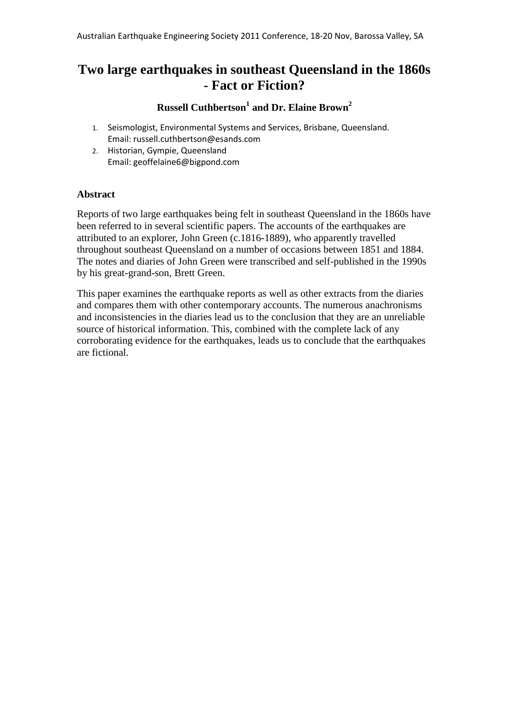# **Two large earthquakes in southeast Queensland in the 1860s - Fact or Fiction?**

# **Russell Cuthbertson<sup>1</sup> and Dr. Elaine Brown<sup>2</sup>**

- 1. Seismologist, Environmental Systems and Services, Brisbane, Queensland. Email: russell.cuthbertson@esands.com
- 2. Historian, Gympie, Queensland Email: geoffelaine6@bigpond.com

## **Abstract**

Reports of two large earthquakes being felt in southeast Queensland in the 1860s have been referred to in several scientific papers. The accounts of the earthquakes are attributed to an explorer, John Green (c.1816-1889), who apparently travelled throughout southeast Queensland on a number of occasions between 1851 and 1884. The notes and diaries of John Green were transcribed and self-published in the 1990s by his great-grand-son, Brett Green.

This paper examines the earthquake reports as well as other extracts from the diaries and compares them with other contemporary accounts. The numerous anachronisms and inconsistencies in the diaries lead us to the conclusion that they are an unreliable source of historical information. This, combined with the complete lack of any corroborating evidence for the earthquakes, leads us to conclude that the earthquakes are fictional.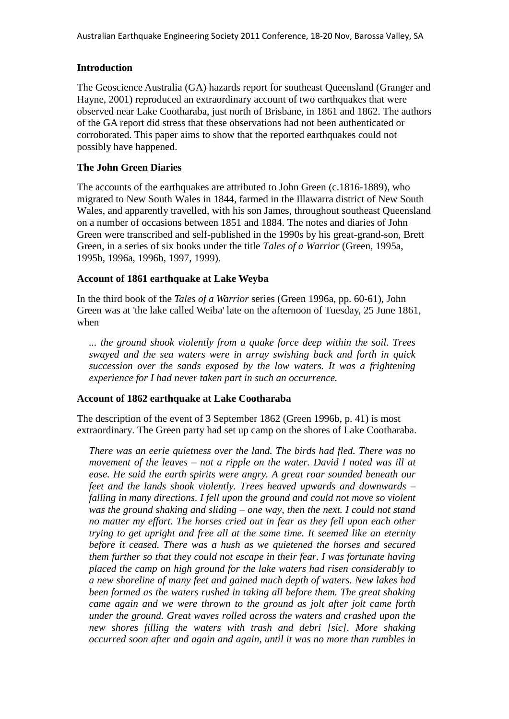## **Introduction**

The Geoscience Australia (GA) hazards report for southeast Queensland (Granger and Hayne, 2001) reproduced an extraordinary account of two earthquakes that were observed near Lake Cootharaba, just north of Brisbane, in 1861 and 1862. The authors of the GA report did stress that these observations had not been authenticated or corroborated. This paper aims to show that the reported earthquakes could not possibly have happened.

## **The John Green Diaries**

The accounts of the earthquakes are attributed to John Green (c.1816-1889), who migrated to New South Wales in 1844, farmed in the Illawarra district of New South Wales, and apparently travelled, with his son James, throughout southeast Queensland on a number of occasions between 1851 and 1884. The notes and diaries of John Green were transcribed and self-published in the 1990s by his great-grand-son, Brett Green, in a series of six books under the title *Tales of a Warrior* (Green, 1995a, 1995b, 1996a, 1996b, 1997, 1999).

#### **Account of 1861 earthquake at Lake Weyba**

In the third book of the *Tales of a Warrior* series (Green 1996a, pp. 60-61), John Green was at 'the lake called Weiba' late on the afternoon of Tuesday, 25 June 1861, when

*... the ground shook violently from a quake force deep within the soil. Trees swayed and the sea waters were in array swishing back and forth in quick succession over the sands exposed by the low waters. It was a frightening experience for I had never taken part in such an occurrence.*

## **Account of 1862 earthquake at Lake Cootharaba**

The description of the event of 3 September 1862 (Green 1996b, p. 41) is most extraordinary. The Green party had set up camp on the shores of Lake Cootharaba.

*There was an eerie quietness over the land. The birds had fled. There was no movement of the leaves – not a ripple on the water. David I noted was ill at ease. He said the earth spirits were angry. A great roar sounded beneath our feet and the lands shook violently. Trees heaved upwards and downwards – falling in many directions. I fell upon the ground and could not move so violent was the ground shaking and sliding – one way, then the next. I could not stand no matter my effort. The horses cried out in fear as they fell upon each other trying to get upright and free all at the same time. It seemed like an eternity before it ceased. There was a hush as we quietened the horses and secured them further so that they could not escape in their fear. I was fortunate having placed the camp on high ground for the lake waters had risen considerably to a new shoreline of many feet and gained much depth of waters. New lakes had been formed as the waters rushed in taking all before them. The great shaking came again and we were thrown to the ground as jolt after jolt came forth under the ground. Great waves rolled across the waters and crashed upon the new shores filling the waters with trash and debri [sic]. More shaking occurred soon after and again and again, until it was no more than rumbles in*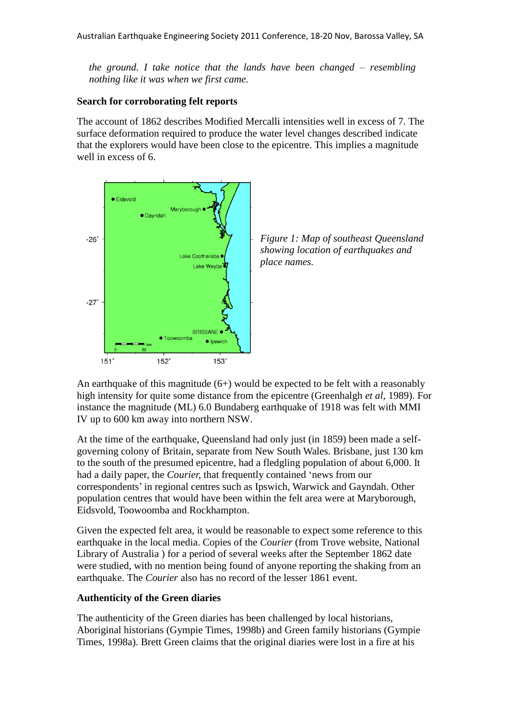*the ground. I take notice that the lands have been changed – resembling nothing like it was when we first came.*

#### **Search for corroborating felt reports**

The account of 1862 describes Modified Mercalli intensities well in excess of 7. The surface deformation required to produce the water level changes described indicate that the explorers would have been close to the epicentre. This implies a magnitude well in excess of 6.





An earthquake of this magnitude  $(6+)$  would be expected to be felt with a reasonably high intensity for quite some distance from the epicentre (Greenhalgh *et al*, 1989). For instance the magnitude (ML) 6.0 Bundaberg earthquake of 1918 was felt with MMI IV up to 600 km away into northern NSW.

At the time of the earthquake, Queensland had only just (in 1859) been made a selfgoverning colony of Britain, separate from New South Wales. Brisbane, just 130 km to the south of the presumed epicentre, had a fledgling population of about 6,000. It had a daily paper, the *Courier,* that frequently contained 'news from our correspondents' in regional centres such as Ipswich, Warwick and Gayndah. Other population centres that would have been within the felt area were at Maryborough, Eidsvold, Toowoomba and Rockhampton.

Given the expected felt area, it would be reasonable to expect some reference to this earthquake in the local media. Copies of the *Courier* (from Trove website, National Library of Australia ) for a period of several weeks after the September 1862 date were studied, with no mention being found of anyone reporting the shaking from an earthquake. The *Courier* also has no record of the lesser 1861 event.

# **Authenticity of the Green diaries**

The authenticity of the Green diaries has been challenged by local historians, Aboriginal historians (Gympie Times, 1998b) and Green family historians (Gympie Times, 1998a). Brett Green claims that the original diaries were lost in a fire at his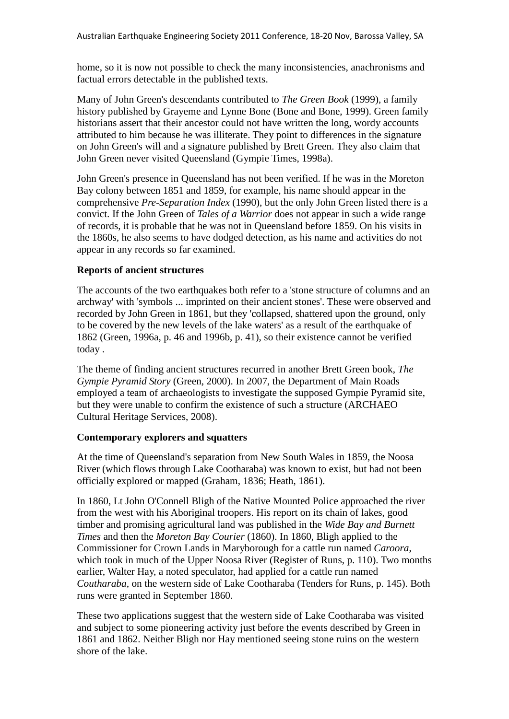home, so it is now not possible to check the many inconsistencies, anachronisms and factual errors detectable in the published texts.

Many of John Green's descendants contributed to *The Green Book* (1999), a family history published by Grayeme and Lynne Bone (Bone and Bone, 1999). Green family historians assert that their ancestor could not have written the long, wordy accounts attributed to him because he was illiterate. They point to differences in the signature on John Green's will and a signature published by Brett Green. They also claim that John Green never visited Queensland (Gympie Times, 1998a).

John Green's presence in Queensland has not been verified. If he was in the Moreton Bay colony between 1851 and 1859, for example, his name should appear in the comprehensive *Pre-Separation Index* (1990), but the only John Green listed there is a convict. If the John Green of *Tales of a Warrior* does not appear in such a wide range of records, it is probable that he was not in Queensland before 1859. On his visits in the 1860s, he also seems to have dodged detection, as his name and activities do not appear in any records so far examined.

# **Reports of ancient structures**

The accounts of the two earthquakes both refer to a 'stone structure of columns and an archway' with 'symbols ... imprinted on their ancient stones'. These were observed and recorded by John Green in 1861, but they 'collapsed, shattered upon the ground, only to be covered by the new levels of the lake waters' as a result of the earthquake of 1862 (Green, 1996a, p. 46 and 1996b, p. 41), so their existence cannot be verified today .

The theme of finding ancient structures recurred in another Brett Green book, *The Gympie Pyramid Story* (Green, 2000). In 2007, the Department of Main Roads employed a team of archaeologists to investigate the supposed Gympie Pyramid site, but they were unable to confirm the existence of such a structure (ARCHAEO Cultural Heritage Services, 2008).

# **Contemporary explorers and squatters**

At the time of Queensland's separation from New South Wales in 1859, the Noosa River (which flows through Lake Cootharaba) was known to exist, but had not been officially explored or mapped (Graham, 1836; Heath, 1861).

In 1860, Lt John O'Connell Bligh of the Native Mounted Police approached the river from the west with his Aboriginal troopers. His report on its chain of lakes, good timber and promising agricultural land was published in the *Wide Bay and Burnett Times* and then the *Moreton Bay Courier* (1860). In 1860, Bligh applied to the Commissioner for Crown Lands in Maryborough for a cattle run named *Caroora*, which took in much of the Upper Noosa River (Register of Runs, p. 110). Two months earlier, Walter Hay, a noted speculator, had applied for a cattle run named *Coutharaba*, on the western side of Lake Cootharaba (Tenders for Runs, p. 145). Both runs were granted in September 1860.

These two applications suggest that the western side of Lake Cootharaba was visited and subject to some pioneering activity just before the events described by Green in 1861 and 1862. Neither Bligh nor Hay mentioned seeing stone ruins on the western shore of the lake.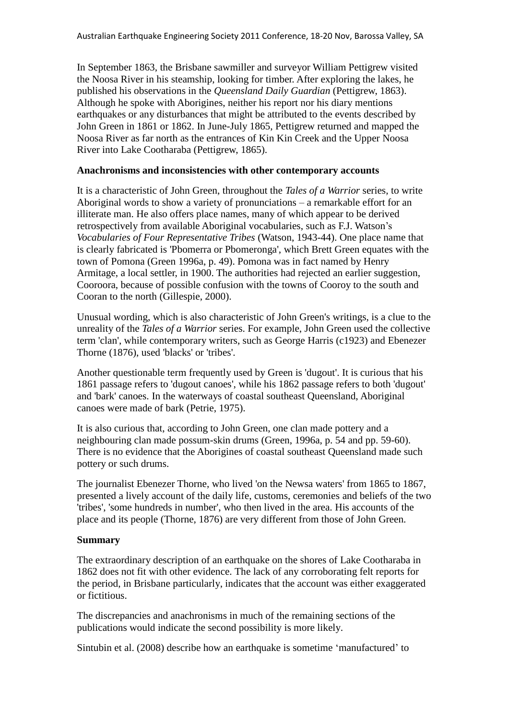In September 1863, the Brisbane sawmiller and surveyor William Pettigrew visited the Noosa River in his steamship, looking for timber. After exploring the lakes, he published his observations in the *Queensland Daily Guardian* (Pettigrew, 1863). Although he spoke with Aborigines, neither his report nor his diary mentions earthquakes or any disturbances that might be attributed to the events described by John Green in 1861 or 1862. In June-July 1865, Pettigrew returned and mapped the Noosa River as far north as the entrances of Kin Kin Creek and the Upper Noosa River into Lake Cootharaba (Pettigrew, 1865).

#### **Anachronisms and inconsistencies with other contemporary accounts**

It is a characteristic of John Green, throughout the *Tales of a Warrior* series, to write Aboriginal words to show a variety of pronunciations – a remarkable effort for an illiterate man. He also offers place names, many of which appear to be derived retrospectively from available Aboriginal vocabularies, such as F.J. Watson's *Vocabularies of Four Representative Tribes* (Watson, 1943-44). One place name that is clearly fabricated is 'Pbomerra or Pbomeronga', which Brett Green equates with the town of Pomona (Green 1996a, p. 49). Pomona was in fact named by Henry Armitage, a local settler, in 1900. The authorities had rejected an earlier suggestion, Cooroora, because of possible confusion with the towns of Cooroy to the south and Cooran to the north (Gillespie, 2000).

Unusual wording, which is also characteristic of John Green's writings, is a clue to the unreality of the *Tales of a Warrior* series. For example, John Green used the collective term 'clan', while contemporary writers, such as George Harris (c1923) and Ebenezer Thorne (1876), used 'blacks' or 'tribes'.

Another questionable term frequently used by Green is 'dugout'. It is curious that his 1861 passage refers to 'dugout canoes', while his 1862 passage refers to both 'dugout' and 'bark' canoes. In the waterways of coastal southeast Queensland, Aboriginal canoes were made of bark (Petrie, 1975).

It is also curious that, according to John Green, one clan made pottery and a neighbouring clan made possum-skin drums (Green, 1996a, p. 54 and pp. 59-60). There is no evidence that the Aborigines of coastal southeast Queensland made such pottery or such drums.

The journalist Ebenezer Thorne, who lived 'on the Newsa waters' from 1865 to 1867, presented a lively account of the daily life, customs, ceremonies and beliefs of the two 'tribes', 'some hundreds in number', who then lived in the area. His accounts of the place and its people (Thorne, 1876) are very different from those of John Green.

#### **Summary**

The extraordinary description of an earthquake on the shores of Lake Cootharaba in 1862 does not fit with other evidence. The lack of any corroborating felt reports for the period, in Brisbane particularly, indicates that the account was either exaggerated or fictitious.

The discrepancies and anachronisms in much of the remaining sections of the publications would indicate the second possibility is more likely.

Sintubin et al. (2008) describe how an earthquake is sometime 'manufactured' to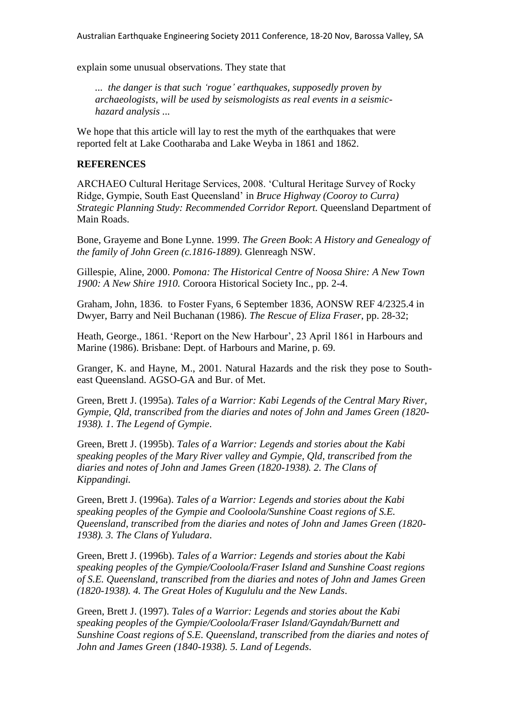explain some unusual observations. They state that

*... the danger is that such 'rogue' earthquakes, supposedly proven by archaeologists, will be used by seismologists as real events in a seismichazard analysis ...*

We hope that this article will lay to rest the myth of the earthquakes that were reported felt at Lake Cootharaba and Lake Weyba in 1861 and 1862.

## **REFERENCES**

ARCHAEO Cultural Heritage Services, 2008. 'Cultural Heritage Survey of Rocky Ridge, Gympie, South East Queensland' in *Bruce Highway (Cooroy to Curra) Strategic Planning Study: Recommended Corridor Report.* Queensland Department of Main Roads.

Bone, Grayeme and Bone Lynne. 1999. *The Green Book*: *A History and Genealogy of the family of John Green (c.1816-1889)*. Glenreagh NSW.

Gillespie, Aline, 2000. *Pomona: The Historical Centre of Noosa Shire: A New Town 1900: A New Shire 1910.* Coroora Historical Society Inc., pp. 2-4.

Graham, John, 1836. to Foster Fyans, 6 September 1836, AONSW REF 4/2325.4 in Dwyer, Barry and Neil Buchanan (1986). *The Rescue of Eliza Fraser*, pp. 28-32;

Heath, George., 1861. 'Report on the New Harbour', 23 April 1861 in Harbours and Marine (1986). Brisbane: Dept. of Harbours and Marine, p. 69.

Granger, K. and Hayne, M., 2001. Natural Hazards and the risk they pose to Southeast Queensland. AGSO-GA and Bur. of Met.

Green, Brett J. (1995a). *Tales of a Warrior: Kabi Legends of the Central Mary River, Gympie, Qld, transcribed from the diaries and notes of John and James Green (1820- 1938). 1*. *The Legend of Gympie*.

Green, Brett J. (1995b). *Tales of a Warrior: Legends and stories about the Kabi speaking peoples of the Mary River valley and Gympie, Qld, transcribed from the diaries and notes of John and James Green (1820-1938). 2. The Clans of Kippandingi.*

Green, Brett J. (1996a). *Tales of a Warrior: Legends and stories about the Kabi speaking peoples of the Gympie and Cooloola/Sunshine Coast regions of S.E. Queensland, transcribed from the diaries and notes of John and James Green (1820- 1938). 3. The Clans of Yuludara*.

Green, Brett J. (1996b). *Tales of a Warrior: Legends and stories about the Kabi speaking peoples of the Gympie/Cooloola/Fraser Island and Sunshine Coast regions of S.E. Queensland, transcribed from the diaries and notes of John and James Green (1820-1938). 4. The Great Holes of Kugululu and the New Lands*.

Green, Brett J. (1997). *Tales of a Warrior: Legends and stories about the Kabi speaking peoples of the Gympie/Cooloola/Fraser Island/Gayndah/Burnett and Sunshine Coast regions of S.E. Queensland, transcribed from the diaries and notes of John and James Green (1840-1938). 5. Land of Legends*.